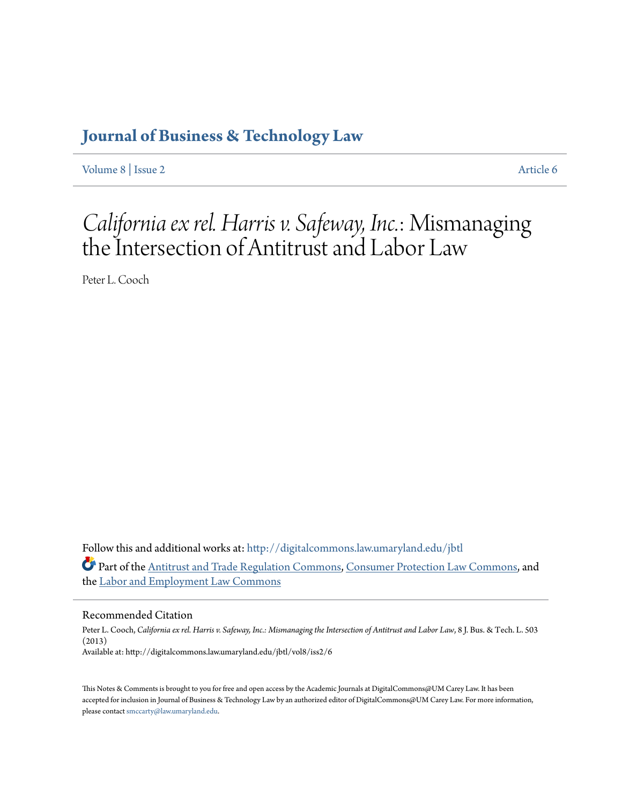# **[Journal of Business & Technology Law](http://digitalcommons.law.umaryland.edu/jbtl?utm_source=digitalcommons.law.umaryland.edu%2Fjbtl%2Fvol8%2Fiss2%2F6&utm_medium=PDF&utm_campaign=PDFCoverPages)**

[Volume 8](http://digitalcommons.law.umaryland.edu/jbtl/vol8?utm_source=digitalcommons.law.umaryland.edu%2Fjbtl%2Fvol8%2Fiss2%2F6&utm_medium=PDF&utm_campaign=PDFCoverPages) | [Issue 2](http://digitalcommons.law.umaryland.edu/jbtl/vol8/iss2?utm_source=digitalcommons.law.umaryland.edu%2Fjbtl%2Fvol8%2Fiss2%2F6&utm_medium=PDF&utm_campaign=PDFCoverPages) [Article 6](http://digitalcommons.law.umaryland.edu/jbtl/vol8/iss2/6?utm_source=digitalcommons.law.umaryland.edu%2Fjbtl%2Fvol8%2Fiss2%2F6&utm_medium=PDF&utm_campaign=PDFCoverPages)

# *California ex rel. Harris v. Safeway, Inc.*: Mismanaging the Intersection of Antitrust and Labor Law

Peter L. Cooch

Follow this and additional works at: [http://digitalcommons.law.umaryland.edu/jbtl](http://digitalcommons.law.umaryland.edu/jbtl?utm_source=digitalcommons.law.umaryland.edu%2Fjbtl%2Fvol8%2Fiss2%2F6&utm_medium=PDF&utm_campaign=PDFCoverPages) Part of the [Antitrust and Trade Regulation Commons,](http://network.bepress.com/hgg/discipline/911?utm_source=digitalcommons.law.umaryland.edu%2Fjbtl%2Fvol8%2Fiss2%2F6&utm_medium=PDF&utm_campaign=PDFCoverPages) [Consumer Protection Law Commons](http://network.bepress.com/hgg/discipline/838?utm_source=digitalcommons.law.umaryland.edu%2Fjbtl%2Fvol8%2Fiss2%2F6&utm_medium=PDF&utm_campaign=PDFCoverPages), and the [Labor and Employment Law Commons](http://network.bepress.com/hgg/discipline/909?utm_source=digitalcommons.law.umaryland.edu%2Fjbtl%2Fvol8%2Fiss2%2F6&utm_medium=PDF&utm_campaign=PDFCoverPages)

# Recommended Citation

Peter L. Cooch, *California ex rel. Harris v. Safeway, Inc.: Mismanaging the Intersection of Antitrust and Labor Law*, 8 J. Bus. & Tech. L. 503 (2013) Available at: http://digitalcommons.law.umaryland.edu/jbtl/vol8/iss2/6

This Notes & Comments is brought to you for free and open access by the Academic Journals at DigitalCommons@UM Carey Law. It has been accepted for inclusion in Journal of Business & Technology Law by an authorized editor of DigitalCommons@UM Carey Law. For more information, please contact [smccarty@law.umaryland.edu](mailto:smccarty@law.umaryland.edu).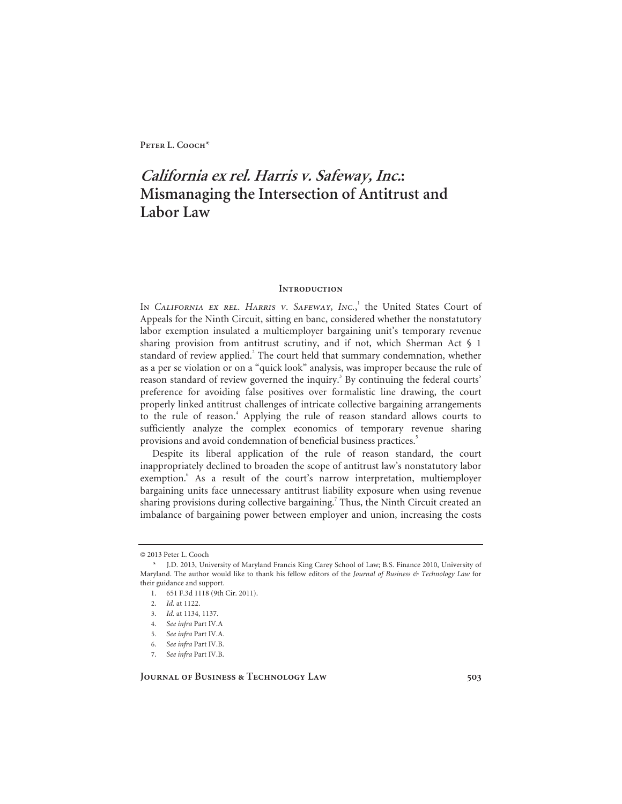**Peter L. Cooch**\*

# **California ex rel. Harris v. Safeway, Inc.: Mismanaging the Intersection of Antitrust and Labor Law**

# **INTRODUCTION**

In *California ex rel. Harris v. Safeway*, *Inc.*,<sup>1</sup> the United States Court of Appeals for the Ninth Circuit, sitting en banc, considered whether the nonstatutory labor exemption insulated a multiemployer bargaining unit's temporary revenue sharing provision from antitrust scrutiny, and if not, which Sherman Act  $\S$  1 standard of review applied.<sup>2</sup> The court held that summary condemnation, whether as a per se violation or on a "quick look" analysis, was improper because the rule of reason standard of review governed the inquiry.<sup>3</sup> By continuing the federal courts' preference for avoiding false positives over formalistic line drawing, the court properly linked antitrust challenges of intricate collective bargaining arrangements to the rule of reason.<sup>4</sup> Applying the rule of reason standard allows courts to sufficiently analyze the complex economics of temporary revenue sharing provisions and avoid condemnation of beneficial business practices.<sup>5</sup>

Despite its liberal application of the rule of reason standard, the court inappropriately declined to broaden the scope of antitrust law's nonstatutory labor exemption.<sup>6</sup> As a result of the court's narrow interpretation, multiemployer bargaining units face unnecessary antitrust liability exposure when using revenue sharing provisions during collective bargaining.<sup>7</sup> Thus, the Ninth Circuit created an imbalance of bargaining power between employer and union, increasing the costs

**Journal of Business & Technology Law 503** 

<sup>© 2013</sup> Peter L. Cooch

 <sup>\*</sup> J.D. 2013, University of Maryland Francis King Carey School of Law; B.S. Finance 2010, University of Maryland. The author would like to thank his fellow editors of the *Journal of Business & Technology Law* for their guidance and support.

 <sup>1. 651</sup> F.3d 1118 (9th Cir. 2011).

<sup>2.</sup> *Id.* at 1122.

<sup>3.</sup> *Id.* at 1134, 1137.

<sup>4.</sup> *See infra* Part IV.A

<sup>5.</sup> *See infra* Part IV.A.

<sup>6.</sup> *See infra* Part IV.B.

<sup>7.</sup> *See infra* Part IV.B.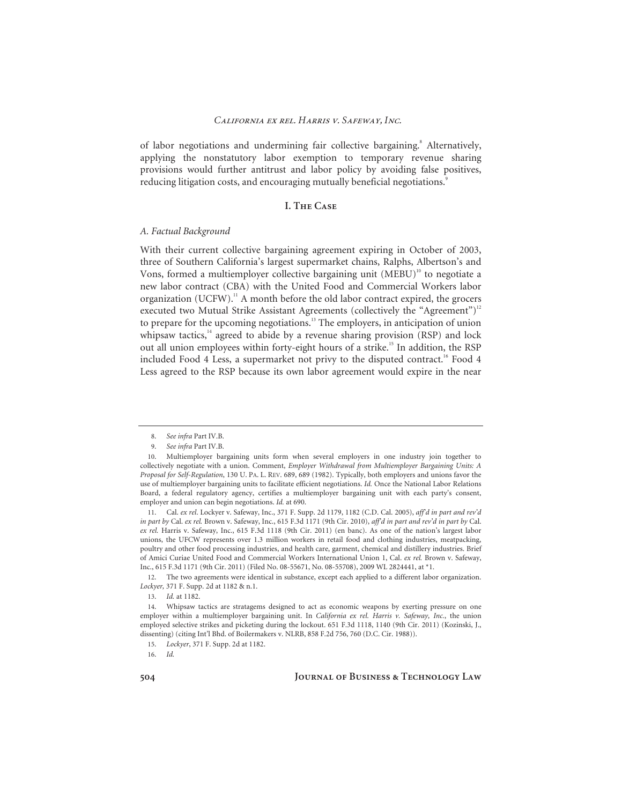of labor negotiations and undermining fair collective bargaining.<sup>8</sup> Alternatively, applying the nonstatutory labor exemption to temporary revenue sharing provisions would further antitrust and labor policy by avoiding false positives, reducing litigation costs, and encouraging mutually beneficial negotiations.<sup>9</sup>

# **I. The Case**

# *A. Factual Background*

With their current collective bargaining agreement expiring in October of 2003, three of Southern California's largest supermarket chains, Ralphs, Albertson's and Vons, formed a multiemployer collective bargaining unit  $(MEBU)^{10}$  to negotiate a new labor contract (CBA) with the United Food and Commercial Workers labor organization (UCFW).<sup>11</sup> A month before the old labor contract expired, the grocers executed two Mutual Strike Assistant Agreements (collectively the "Agreement")<sup>12</sup> to prepare for the upcoming negotiations.<sup>13</sup> The employers, in anticipation of union whipsaw tactics, $14$  agreed to abide by a revenue sharing provision (RSP) and lock out all union employees within forty-eight hours of a strike.<sup>15</sup> In addition, the RSP included Food 4 Less, a supermarket not privy to the disputed contract.<sup>16</sup> Food 4 Less agreed to the RSP because its own labor agreement would expire in the near

<sup>8.</sup> *See infra* Part IV.B.

<sup>9.</sup> *See infra* Part IV.B.

<sup>10.</sup> Multiemployer bargaining units form when several employers in one industry join together to collectively negotiate with a union. Comment, *Employer Withdrawal from Multiemployer Bargaining Units: A Proposal for Self-Regulation*, 130 U. PA. L. REV. 689, 689 (1982). Typically, both employers and unions favor the use of multiemployer bargaining units to facilitate efficient negotiations. *Id.* Once the National Labor Relations Board, a federal regulatory agency, certifies a multiemployer bargaining unit with each party's consent, employer and union can begin negotiations. *Id.* at 690.

<sup>11.</sup> Cal. *ex rel*. Lockyer v. Safeway, Inc., 371 F. Supp. 2d 1179, 1182 (C.D. Cal. 2005), *aff'd in part and rev'd in part by* Cal. *ex rel.* Brown v. Safeway, Inc., 615 F.3d 1171 (9th Cir. 2010), *aff'd in part and rev'd in part by* Cal. *ex rel.* Harris v. Safeway, Inc., 615 F.3d 1118 (9th Cir. 2011) (en banc). As one of the nation's largest labor unions, the UFCW represents over 1.3 million workers in retail food and clothing industries, meatpacking, poultry and other food processing industries, and health care, garment, chemical and distillery industries. Brief of Amici Curiae United Food and Commercial Workers International Union 1, Cal. *ex rel.* Brown v. Safeway, Inc., 615 F.3d 1171 (9th Cir. 2011) (Filed No. 08-55671, No. 08-55708), 2009 WL 2824441, at \*1.

<sup>12.</sup> The two agreements were identical in substance, except each applied to a different labor organization. *Lockyer,* 371 F. Supp. 2d at 1182 & n.1.

<sup>13.</sup> *Id.* at 1182.

<sup>14.</sup> Whipsaw tactics are stratagems designed to act as economic weapons by exerting pressure on one employer within a multiemployer bargaining unit. In *California ex rel. Harris v. Safeway, Inc.*, the union employed selective strikes and picketing during the lockout. 651 F.3d 1118, 1140 (9th Cir. 2011) (Kozinski, J., dissenting) (citing Int'l Bhd. of Boilermakers v. NLRB, 858 F.2d 756, 760 (D.C. Cir. 1988)).

<sup>15.</sup> *Lockyer*, 371 F. Supp. 2d at 1182.

<sup>16.</sup> *Id.*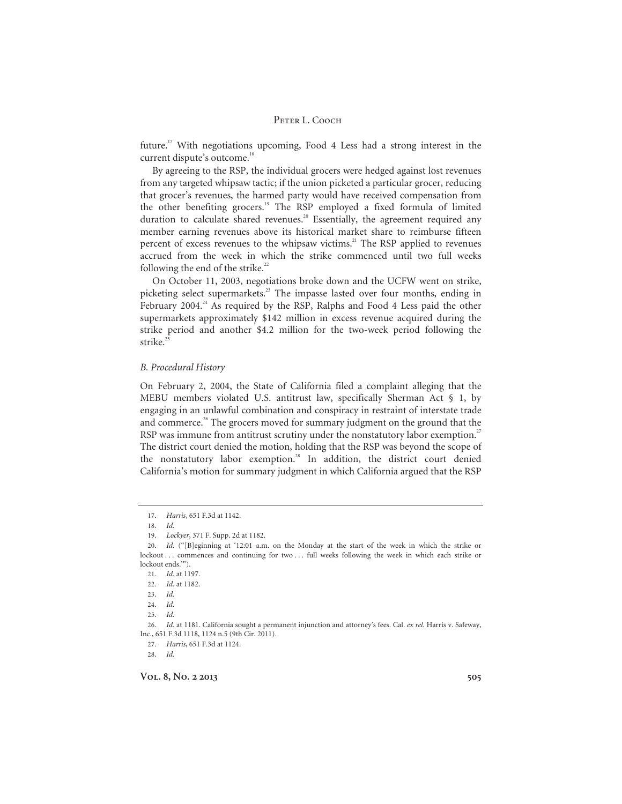future.17 With negotiations upcoming, Food 4 Less had a strong interest in the current dispute's outcome.<sup>18</sup>

By agreeing to the RSP, the individual grocers were hedged against lost revenues from any targeted whipsaw tactic; if the union picketed a particular grocer, reducing that grocer's revenues, the harmed party would have received compensation from the other benefiting grocers.<sup>19</sup> The RSP employed a fixed formula of limited duration to calculate shared revenues.<sup>20</sup> Essentially, the agreement required any member earning revenues above its historical market share to reimburse fifteen percent of excess revenues to the whipsaw victims.<sup>21</sup> The RSP applied to revenues accrued from the week in which the strike commenced until two full weeks following the end of the strike. $22$ 

On October 11, 2003, negotiations broke down and the UCFW went on strike, picketing select supermarkets.<sup>23</sup> The impasse lasted over four months, ending in February 2004. $^{24}$  As required by the RSP, Ralphs and Food 4 Less paid the other supermarkets approximately \$142 million in excess revenue acquired during the strike period and another \$4.2 million for the two-week period following the strike.<sup>2</sup>

# *B. Procedural History*

On February 2, 2004, the State of California filed a complaint alleging that the MEBU members violated U.S. antitrust law, specifically Sherman Act  $\S$  1, by engaging in an unlawful combination and conspiracy in restraint of interstate trade and commerce.<sup>26</sup> The grocers moved for summary judgment on the ground that the RSP was immune from antitrust scrutiny under the nonstatutory labor exemption.<sup>27</sup> The district court denied the motion, holding that the RSP was beyond the scope of the nonstatutory labor exemption.<sup>28</sup> In addition, the district court denied California's motion for summary judgment in which California argued that the RSP

27. *Harris*, 651 F.3d at 1124.

28. *Id.*

<sup>17.</sup> *Harris*, 651 F.3d at 1142.

<sup>18.</sup> *Id.*

<sup>19.</sup> *Lockyer*, 371 F. Supp. 2d at 1182.

<sup>20.</sup> *Id.* ("[B]eginning at '12:01 a.m. on the Monday at the start of the week in which the strike or lockout ... commences and continuing for two ... full weeks following the week in which each strike or lockout ends.'").

<sup>21.</sup> *Id.* at 1197.

<sup>22.</sup> *Id.* at 1182.

<sup>23.</sup> *Id.* 

<sup>24.</sup> *Id.*

<sup>25.</sup> *Id.*

<sup>26.</sup> *Id.* at 1181. California sought a permanent injunction and attorney's fees. Cal. *ex rel.* Harris v. Safeway, Inc., 651 F.3d 1118, 1124 n.5 (9th Cir. 2011).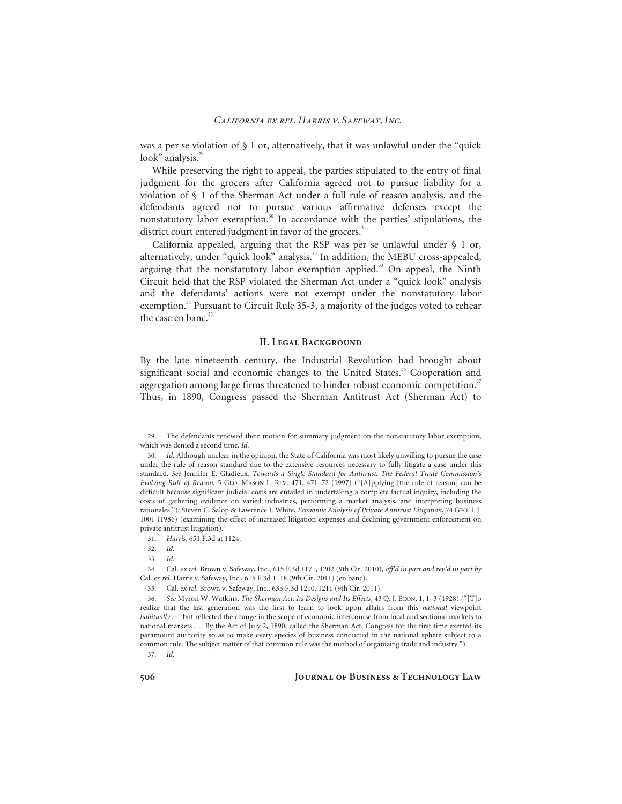was a per se violation of § 1 or, alternatively, that it was unlawful under the "quick look" analysis.<sup>29</sup>

While preserving the right to appeal, the parties stipulated to the entry of final judgment for the grocers after California agreed not to pursue liability for a violation of § 1 of the Sherman Act under a full rule of reason analysis, and the defendants agreed not to pursue various affirmative defenses except the nonstatutory labor exemption.<sup>30</sup> In accordance with the parties' stipulations, the district court entered judgment in favor of the grocers.<sup>31</sup>

California appealed, arguing that the RSP was per se unlawful under § 1 or, alternatively, under "quick look" analysis.<sup>32</sup> In addition, the MEBU cross-appealed, arguing that the nonstatutory labor exemption applied.<sup>33</sup> On appeal, the Ninth Circuit held that the RSP violated the Sherman Act under a "quick look" analysis and the defendants' actions were not exempt under the nonstatutory labor exemption.<sup>34</sup> Pursuant to Circuit Rule 35-3, a majority of the judges voted to rehear the case en banc.<sup>35</sup>

#### **II. Legal Background**

By the late nineteenth century, the Industrial Revolution had brought about significant social and economic changes to the United States.<sup>36</sup> Cooperation and aggregation among large firms threatened to hinder robust economic competition.<sup>37</sup> Thus, in 1890, Congress passed the Sherman Antitrust Act (Sherman Act) to

37. *Id.*

**506 Journal of Business & Technology Law** 

<sup>29.</sup> The defendants renewed their motion for summary judgment on the nonstatutory labor exemption, which was denied a second time. *Id.*

<sup>30.</sup> *Id.* Although unclear in the opinion, the State of California was most likely unwilling to pursue the case under the rule of reason standard due to the extensive resources necessary to fully litigate a case under this standard. *See* Jennifer E. Gladieux, *Towards a Single Standard for Antitrust: The Federal Trade Commission's Evolving Rule of Reason*, 5 GEO. MASON L. REV. 471, 471–72 (1997) ("[A]pplying [the rule of reason] can be difficult because significant judicial costs are entailed in undertaking a complete factual inquiry, including the costs of gathering evidence on varied industries, performing a market analysis, and interpreting business rationales."); Steven C. Salop & Lawrence J. White, *Economic Analysis of Private Antitrust Litigation*, 74 GEO. L.J. 1001 (1986) (examining the effect of increased litigation expenses and declining government enforcement on private antitrust litigation).

<sup>31.</sup> *Harris*, 651 F.3d at 1124.

<sup>32.</sup> *Id.*

<sup>33.</sup> *Id.*

<sup>34.</sup> Cal. *ex rel*. Brown v. Safeway, Inc., 615 F.3d 1171, 1202 (9th Cir. 2010), *aff'd in part and rev'd in part by*  Cal. *ex rel.* Harris v. Safeway, Inc., 615 F.3d 1118 (9th Cir. 2011) (en banc).

<sup>35.</sup> Cal. *ex rel*. Brown v. Safeway, Inc., 633 F.3d 1210, 1211 (9th Cir. 2011).

<sup>36.</sup> *See* Myron W. Watkins, *The Sherman Act: Its Designs and Its Effects*, 43 Q. J. ECON. 1, 1–3 (1928) ("[T]o realize that the last generation was the first to learn to look upon affairs from this *national* viewpoint *habitually . . .* but reflected the change in the scope of economic intercourse from local and sectional markets to national markets . . . By the Act of July 2, 1890, called the Sherman Act, Congress for the first time exerted its paramount authority so as to make every species of business conducted in the national sphere subject to a common rule. The subject matter of that common rule was the method of organizing trade and industry.").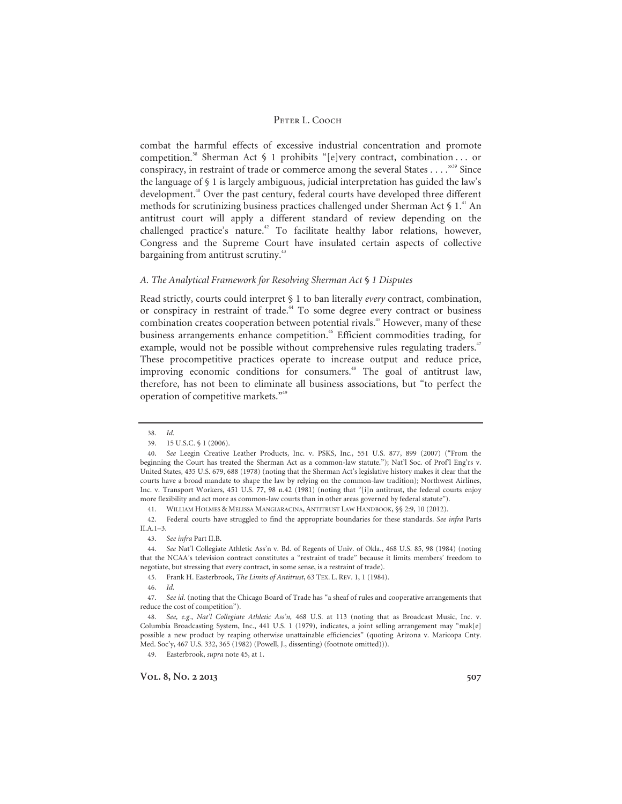combat the harmful effects of excessive industrial concentration and promote competition.<sup>38</sup> Sherman Act § 1 prohibits "[e]very contract, combination . . . or conspiracy, in restraint of trade or commerce among the several States  $\dots$ <sup>39</sup> Since the language of § 1 is largely ambiguous, judicial interpretation has guided the law's development.<sup>40</sup> Over the past century, federal courts have developed three different methods for scrutinizing business practices challenged under Sherman Act  $\S$  1.<sup>41</sup> An antitrust court will apply a different standard of review depending on the challenged practice's nature.<sup>42</sup> To facilitate healthy labor relations, however, Congress and the Supreme Court have insulated certain aspects of collective bargaining from antitrust scrutiny.<sup>43</sup>

# *A. The Analytical Framework for Resolving Sherman Act* § *1 Disputes*

Read strictly, courts could interpret § 1 to ban literally *every* contract, combination, or conspiracy in restraint of trade.<sup>44</sup> To some degree every contract or business combination creates cooperation between potential rivals.<sup>45</sup> However, many of these business arrangements enhance competition.<sup>46</sup> Efficient commodities trading, for example, would not be possible without comprehensive rules regulating traders.<sup>47</sup> These procompetitive practices operate to increase output and reduce price, improving economic conditions for consumers.<sup>48</sup> The goal of antitrust law, therefore, has not been to eliminate all business associations, but "to perfect the operation of competitive markets."49

49. Easterbrook, *supra* note 45, at 1.

<sup>38.</sup> *Id.* 

<sup>39. 15</sup> U.S.C. § 1 (2006).

<sup>40.</sup> *See* Leegin Creative Leather Products, Inc. v. PSKS, Inc., 551 U.S. 877, 899 (2007) ("From the beginning the Court has treated the Sherman Act as a common-law statute."); Nat'l Soc. of Prof'l Eng'rs v. United States, 435 U.S. 679, 688 (1978) (noting that the Sherman Act's legislative history makes it clear that the courts have a broad mandate to shape the law by relying on the common-law tradition); Northwest Airlines, Inc. v. Transport Workers, 451 U.S. 77, 98 n.42 (1981) (noting that "[i]n antitrust, the federal courts enjoy more flexibility and act more as common-law courts than in other areas governed by federal statute").

<sup>41.</sup> WILLIAM HOLMES & MELISSA MANGIARACINA, ANTITRUST LAW HANDBOOK, §§ 2:9, 10 (2012).

<sup>42.</sup> Federal courts have struggled to find the appropriate boundaries for these standards. *See infra* Parts II.A.1–3.

<sup>43.</sup> *See infra* Part II.B.

<sup>44.</sup> *See* Nat'l Collegiate Athletic Ass'n v. Bd. of Regents of Univ. of Okla., 468 U.S. 85, 98 (1984) (noting that the NCAA's television contract constitutes a "restraint of trade" because it limits members' freedom to negotiate, but stressing that every contract, in some sense, is a restraint of trade).

<sup>45.</sup> Frank H. Easterbrook, *The Limits of Antitrust*, 63 TEX. L. REV. 1, 1 (1984).

<sup>46.</sup> *Id.*

<sup>47.</sup> *See id.* (noting that the Chicago Board of Trade has "a sheaf of rules and cooperative arrangements that reduce the cost of competition").

<sup>48.</sup> *See, e.g.*, *Nat'l Collegiate Athletic Ass'n,* 468 U.S. at 113 (noting that as Broadcast Music, Inc. v. Columbia Broadcasting System, Inc., 441 U.S. 1 (1979), indicates, a joint selling arrangement may "mak[e] possible a new product by reaping otherwise unattainable efficiencies" (quoting Arizona v. Maricopa Cnty. Med. Soc'y, 467 U.S. 332, 365 (1982) (Powell, J., dissenting) (footnote omitted))).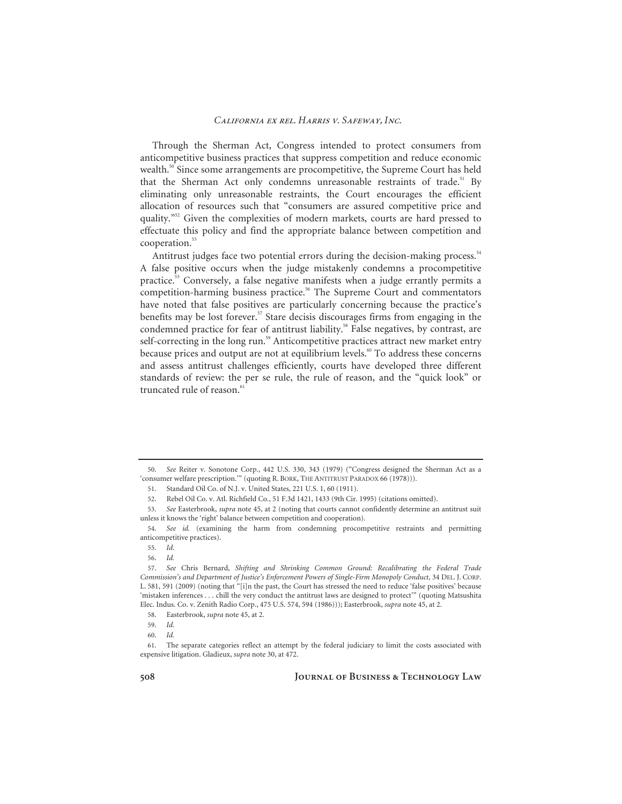Through the Sherman Act, Congress intended to protect consumers from anticompetitive business practices that suppress competition and reduce economic wealth.<sup>50</sup> Since some arrangements are procompetitive, the Supreme Court has held that the Sherman Act only condemns unreasonable restraints of trade.<sup>51</sup> By eliminating only unreasonable restraints, the Court encourages the efficient allocation of resources such that "consumers are assured competitive price and quality."<sup>52</sup> Given the complexities of modern markets, courts are hard pressed to effectuate this policy and find the appropriate balance between competition and cooperation.<sup>53</sup>

Antitrust judges face two potential errors during the decision-making process.<sup>54</sup> A false positive occurs when the judge mistakenly condemns a procompetitive practice.55 Conversely, a false negative manifests when a judge errantly permits a competition-harming business practice.<sup>56</sup> The Supreme Court and commentators have noted that false positives are particularly concerning because the practice's benefits may be lost forever.<sup>57</sup> Stare decisis discourages firms from engaging in the condemned practice for fear of antitrust liability.<sup>58</sup> False negatives, by contrast, are self-correcting in the long run.<sup>59</sup> Anticompetitive practices attract new market entry because prices and output are not at equilibrium levels.<sup>60</sup> To address these concerns and assess antitrust challenges efficiently, courts have developed three different standards of review: the per se rule, the rule of reason, and the "quick look" or  $t$ runcated rule of reason $61$ 

<sup>50.</sup> *See* Reiter v. Sonotone Corp*.*, 442 U.S. 330, 343 (1979) ("Congress designed the Sherman Act as a 'consumer welfare prescription.'" (quoting R. BORK, THE ANTITRUST PARADOX 66 (1978))).

<sup>51.</sup> Standard Oil Co. of N.J. v. United States, 221 U.S. 1, 60 (1911).

<sup>52.</sup> Rebel Oil Co. v. Atl. Richfield Co*.*, 51 F.3d 1421, 1433 (9th Cir. 1995) (citations omitted).

<sup>53.</sup> *See* Easterbrook, *supra* note 45, at 2 (noting that courts cannot confidently determine an antitrust suit unless it knows the 'right' balance between competition and cooperation).

<sup>54.</sup> *See id.* (examining the harm from condemning procompetitive restraints and permitting anticompetitive practices).

<sup>55.</sup> *Id*.

<sup>56.</sup> *Id.* 

<sup>57.</sup> *See* Chris Bernard, *Shifting and Shrinking Common Ground: Recalibrating the Federal Trade Commission's and Department of Justice's Enforcement Powers of Single-Firm Monopoly Conduct*, 34 DEL. J. CORP. L. 581, 591 (2009) (noting that "[i]n the past, the Court has stressed the need to reduce 'false positives' because 'mistaken inferences . . . chill the very conduct the antitrust laws are designed to protect'" (quoting Matsushita Elec. Indus. Co. v. Zenith Radio Corp., 475 U.S. 574, 594 (1986))); Easterbrook, *supra* note 45, at 2.

<sup>58.</sup> Easterbrook, *supra* note 45, at 2.

<sup>59.</sup> *Id.*

<sup>60.</sup> *Id.*

<sup>61.</sup> The separate categories reflect an attempt by the federal judiciary to limit the costs associated with expensive litigation. Gladieux, *supra* note 30, at 472.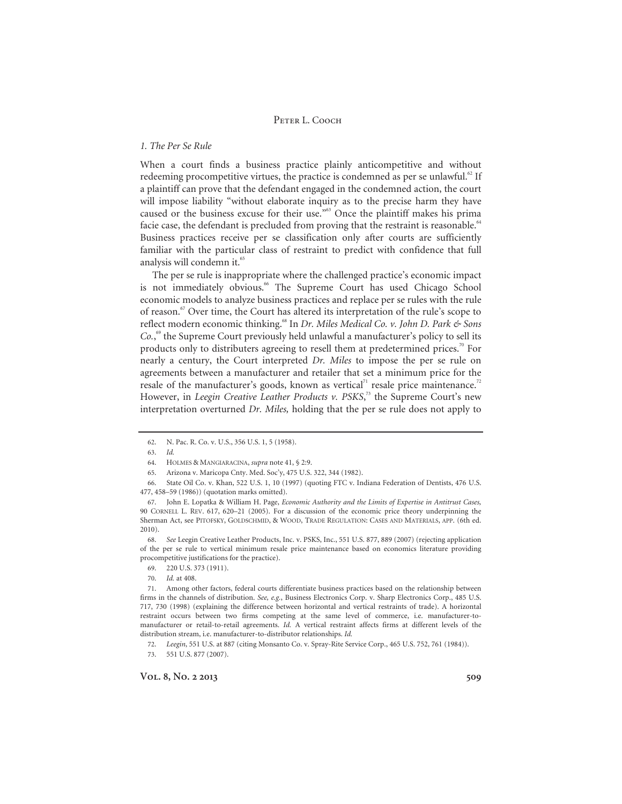# *1. The Per Se Rule*

When a court finds a business practice plainly anticompetitive and without redeeming procompetitive virtues, the practice is condemned as per se unlawful. $^{62}$  If a plaintiff can prove that the defendant engaged in the condemned action, the court will impose liability "without elaborate inquiry as to the precise harm they have caused or the business excuse for their use."63 Once the plaintiff makes his prima facie case, the defendant is precluded from proving that the restraint is reasonable. $^{64}$ Business practices receive per se classification only after courts are sufficiently familiar with the particular class of restraint to predict with confidence that full analysis will condemn it.<sup>65</sup>

The per se rule is inappropriate where the challenged practice's economic impact is not immediately obvious.<sup>66</sup> The Supreme Court has used Chicago School economic models to analyze business practices and replace per se rules with the rule of reason.<sup>67</sup> Over time, the Court has altered its interpretation of the rule's scope to reflect modern economic thinking.68 In *Dr. Miles Medical Co. v. John D. Park & Sons*  Co.<sup>69</sup> the Supreme Court previously held unlawful a manufacturer's policy to sell its products only to distributers agreeing to resell them at predetermined prices.<sup>70</sup> For nearly a century, the Court interpreted *Dr. Miles* to impose the per se rule on agreements between a manufacturer and retailer that set a minimum price for the resale of the manufacturer's goods, known as vertical<sup>71</sup> resale price maintenance.<sup>72</sup> However, in *Leegin Creative Leather Products v. PSKS*,<sup>73</sup> the Supreme Court's new interpretation overturned *Dr. Miles,* holding that the per se rule does not apply to

<sup>62.</sup> N. Pac. R. Co. v. U.S., 356 U.S. 1, 5 (1958).

<sup>63.</sup> *Id.*

<sup>64.</sup> HOLMES & MANGIARACINA, *supra* note 41, § 2:9.

<sup>65.</sup> Arizona v. Maricopa Cnty. Med. Soc'y, 475 U.S. 322, 344 (1982).

<sup>66.</sup> State Oil Co. v. Khan, 522 U.S. 1, 10 (1997) (quoting FTC v. Indiana Federation of Dentists, 476 U.S. 477, 458–59 (1986)) (quotation marks omitted).

<sup>67.</sup> John E. Lopatka & William H. Page, *Economic Authority and the Limits of Expertise in Antitrust Cases,* 90 CORNELL L. REV. 617, 620–21 (2005). For a discussion of the economic price theory underpinning the Sherman Act, see PITOFSKY, GOLDSCHMID, & WOOD, TRADE REGULATION: CASES AND MATERIALS, APP. (6th ed. 2010).

<sup>68.</sup> *See* Leegin Creative Leather Products, Inc. v. PSKS, Inc., 551 U.S. 877, 889 (2007) (rejecting application of the per se rule to vertical minimum resale price maintenance based on economics literature providing procompetitive justifications for the practice).

<sup>69. 220</sup> U.S. 373 (1911).

<sup>70.</sup> *Id.* at 408.

<sup>71.</sup> Among other factors, federal courts differentiate business practices based on the relationship between firms in the channels of distribution. *See, e.g.*, Business Electronics Corp. v. Sharp Electronics Corp., 485 U.S. 717, 730 (1998) (explaining the difference between horizontal and vertical restraints of trade). A horizontal restraint occurs between two firms competing at the same level of commerce, i.e. manufacturer-tomanufacturer or retail-to-retail agreements. *Id.* A vertical restraint affects firms at different levels of the distribution stream, i.e. manufacturer-to-distributor relationships. *Id.* 

<sup>72.</sup> *Leegin*, 551 U.S. at 887 (citing Monsanto Co. v. Spray-Rite Service Corp., 465 U.S. 752, 761 (1984)).

<sup>73. 551</sup> U.S. 877 (2007).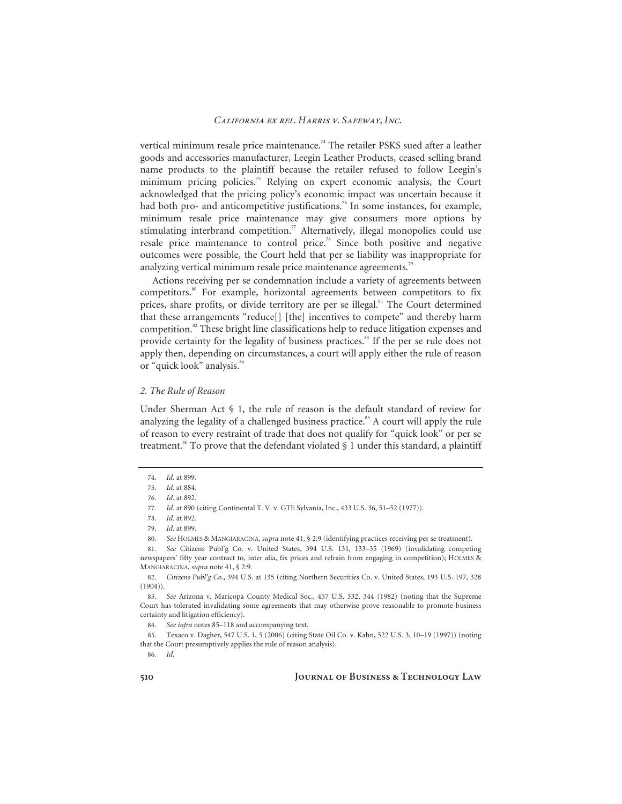vertical minimum resale price maintenance.<sup>74</sup> The retailer PSKS sued after a leather goods and accessories manufacturer, Leegin Leather Products, ceased selling brand name products to the plaintiff because the retailer refused to follow Leegin's minimum pricing policies.<sup>75</sup> Relying on expert economic analysis, the Court acknowledged that the pricing policy's economic impact was uncertain because it had both pro- and anticompetitive justifications.<sup>76</sup> In some instances, for example, minimum resale price maintenance may give consumers more options by stimulating interbrand competition.<sup>77</sup> Alternatively, illegal monopolies could use resale price maintenance to control price.<sup>78</sup> Since both positive and negative outcomes were possible, the Court held that per se liability was inappropriate for analyzing vertical minimum resale price maintenance agreements.<sup>79</sup>

Actions receiving per se condemnation include a variety of agreements between competitors.80 For example, horizontal agreements between competitors to fix prices, share profits, or divide territory are per se illegal.<sup>81</sup> The Court determined that these arrangements "reduce[] [the] incentives to compete" and thereby harm competition.<sup>82</sup> These bright line classifications help to reduce litigation expenses and provide certainty for the legality of business practices.<sup>83</sup> If the per se rule does not apply then, depending on circumstances, a court will apply either the rule of reason or "quick look" analysis.<sup>84</sup>

# *2. The Rule of Reason*

Under Sherman Act  $\S$  1, the rule of reason is the default standard of review for analyzing the legality of a challenged business practice.<sup>85</sup> A court will apply the rule of reason to every restraint of trade that does not qualify for "quick look" or per se treatment.<sup>86</sup> To prove that the defendant violated  $\S$  1 under this standard, a plaintiff

81. *See* Citizens Publ'g Co. v. United States, 394 U.S. 131, 133–35 (1969) (invalidating competing newspapers' fifty year contract to, inter alia, fix prices and refrain from engaging in competition); HOLMES & MANGIARACINA, *supra* note 41, § 2:9.

82. *Citizens Publ'g Co.*, 394 U.S. at 135 (citing Northern Securities Co. v. United States, 193 U.S. 197, 328  $(1904)$ .

84. *See infra* notes 85–118 and accompanying text.

85. Texaco v. Dagher, 547 U.S. 1, 5 (2006) (citing State Oil Co. v. Kahn, 522 U.S. 3, 10–19 (1997)) (noting that the Court presumptively applies the rule of reason analysis).

86. *Id.*

<sup>74.</sup> *Id.* at 899.

<sup>75.</sup> *Id.* at 884.

<sup>76.</sup> *Id.* at 892.

<sup>77.</sup> *Id.* at 890 (citing Continental T. V. v. GTE Sylvania, Inc., 433 U.S. 36, 51–52 (1977)).

<sup>78.</sup> *Id.* at 892.

<sup>79.</sup> *Id.* at 899.

<sup>80.</sup> *See* HOLMES & MANGIARACINA, *supra* note 41, § 2:9 (identifying practices receiving per se treatment).

<sup>83.</sup> *See* Arizona v. Maricopa County Medical Soc., 457 U.S. 332, 344 (1982) (noting that the Supreme Court has tolerated invalidating some agreements that may otherwise prove reasonable to promote business certainty and litigation efficiency).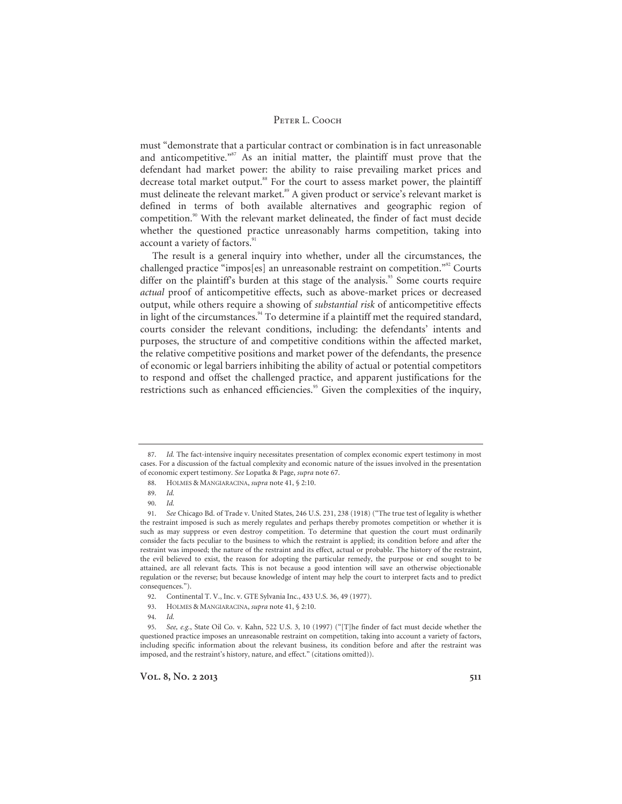must "demonstrate that a particular contract or combination is in fact unreasonable and anticompetitive." $87$  As an initial matter, the plaintiff must prove that the defendant had market power: the ability to raise prevailing market prices and decrease total market output.<sup>88</sup> For the court to assess market power, the plaintiff must delineate the relevant market.<sup>89</sup> A given product or service's relevant market is defined in terms of both available alternatives and geographic region of competition.<sup>90</sup> With the relevant market delineated, the finder of fact must decide whether the questioned practice unreasonably harms competition, taking into account a variety of factors.<sup>91</sup>

The result is a general inquiry into whether, under all the circumstances, the challenged practice "impos[es] an unreasonable restraint on competition."<sup>92</sup> Courts differ on the plaintiff's burden at this stage of the analysis.<sup>93</sup> Some courts require *actual* proof of anticompetitive effects, such as above-market prices or decreased output, while others require a showing of *substantial risk* of anticompetitive effects in light of the circumstances. $94$  To determine if a plaintiff met the required standard, courts consider the relevant conditions, including: the defendants' intents and purposes, the structure of and competitive conditions within the affected market, the relative competitive positions and market power of the defendants, the presence of economic or legal barriers inhibiting the ability of actual or potential competitors to respond and offset the challenged practice, and apparent justifications for the restrictions such as enhanced efficiencies.<sup>95</sup> Given the complexities of the inquiry,

- 93. HOLMES & MANGIARACINA, *supra* note 41, § 2:10.
- 94. *Id.*

<sup>87.</sup> *Id.* The fact-intensive inquiry necessitates presentation of complex economic expert testimony in most cases. For a discussion of the factual complexity and economic nature of the issues involved in the presentation of economic expert testimony. *See* Lopatka & Page, *supra* note 67.

<sup>88.</sup> HOLMES & MANGIARACINA, *supra* note 41, § 2:10.

<sup>89.</sup> *Id.*

<sup>90.</sup> *Id.*

<sup>91.</sup> *See* Chicago Bd. of Trade v. United States, 246 U.S. 231, 238 (1918) ("The true test of legality is whether the restraint imposed is such as merely regulates and perhaps thereby promotes competition or whether it is such as may suppress or even destroy competition. To determine that question the court must ordinarily consider the facts peculiar to the business to which the restraint is applied; its condition before and after the restraint was imposed; the nature of the restraint and its effect, actual or probable. The history of the restraint, the evil believed to exist, the reason for adopting the particular remedy, the purpose or end sought to be attained, are all relevant facts. This is not because a good intention will save an otherwise objectionable regulation or the reverse; but because knowledge of intent may help the court to interpret facts and to predict consequences.").

<sup>92.</sup> Continental T. V., Inc. v. GTE Sylvania Inc., 433 U.S. 36, 49 (1977).

<sup>95.</sup> *See, e.g.*, State Oil Co. v. Kahn, 522 U.S. 3, 10 (1997) ("[T]he finder of fact must decide whether the questioned practice imposes an unreasonable restraint on competition, taking into account a variety of factors, including specific information about the relevant business, its condition before and after the restraint was imposed, and the restraint's history, nature, and effect." (citations omitted)).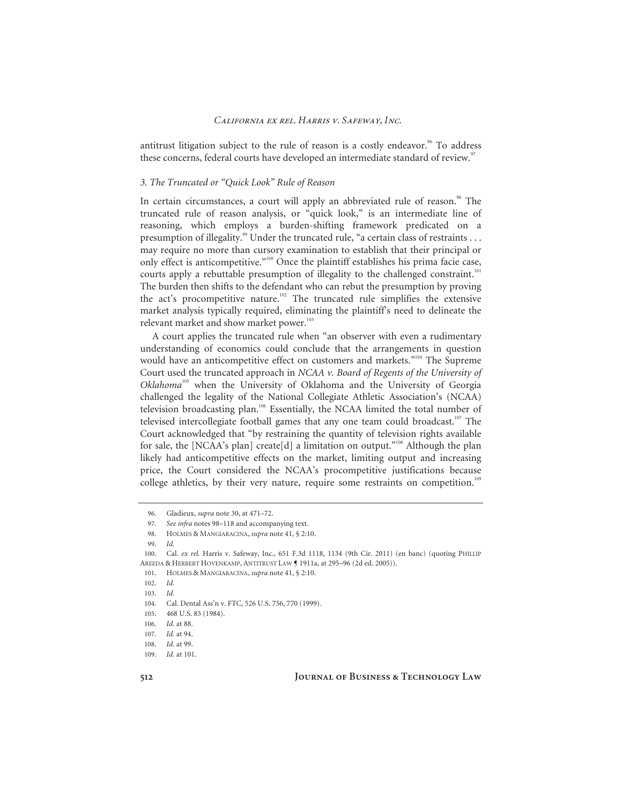antitrust litigation subject to the rule of reason is a costly endeavor. $\frac{96}{10}$  To address these concerns, federal courts have developed an intermediate standard of review.<sup>97</sup>

# *3. The Truncated or "Quick Look" Rule of Reason*

In certain circumstances, a court will apply an abbreviated rule of reason.<sup>98</sup> The truncated rule of reason analysis, or "quick look," is an intermediate line of reasoning, which employs a burden-shifting framework predicated on a presumption of illegality.<sup>99</sup> Under the truncated rule, "a certain class of restraints . . . may require no more than cursory examination to establish that their principal or only effect is anticompetitive."100 Once the plaintiff establishes his prima facie case, courts apply a rebuttable presumption of illegality to the challenged constraint.<sup>101</sup> The burden then shifts to the defendant who can rebut the presumption by proving the act's procompetitive nature.<sup>102</sup> The truncated rule simplifies the extensive market analysis typically required, eliminating the plaintiff's need to delineate the relevant market and show market power.<sup>103</sup>

A court applies the truncated rule when "an observer with even a rudimentary understanding of economics could conclude that the arrangements in question would have an anticompetitive effect on customers and markets."<sup>104</sup> The Supreme Court used the truncated approach in *NCAA v. Board of Regents of the University of Oklahoma*<sup>105</sup> when the University of Oklahoma and the University of Georgia challenged the legality of the National Collegiate Athletic Association's (NCAA) television broadcasting plan.106 Essentially, the NCAA limited the total number of televised intercollegiate football games that any one team could broadcast.<sup>107</sup> The Court acknowledged that "by restraining the quantity of television rights available for sale, the [NCAA's plan] create[d] a limitation on output."<sup>108</sup> Although the plan likely had anticompetitive effects on the market, limiting output and increasing price, the Court considered the NCAA's procompetitive justifications because college athletics, by their very nature, require some restraints on competition.<sup>109</sup>

<sup>96.</sup> Gladieux, *supra* note 30, at 471–72.

<sup>97.</sup> *See infra* notes 98–118 and accompanying text.

<sup>98.</sup> HOLMES & MANGIARACINA, *supra* note 41, § 2:10.

<sup>99.</sup> *Id.*

<sup>100.</sup> Cal. *ex rel.* Harris v. Safeway, Inc., 651 F.3d 1118, 1134 (9th Cir. 2011) (en banc) (quoting PHILLIP AREEDA & HERBERT HOVENKAMP, ANTITRUST LAW ¶ 1911a, at 295–96 (2d ed. 2005)).

<sup>101.</sup> HOLMES & MANGIARACINA, *supra* note 41, § 2:10.

<sup>102.</sup> *Id.*

<sup>103.</sup> *Id.*

<sup>104.</sup> Cal. Dental Ass'n v. FTC, 526 U.S. 756, 770 (1999).

<sup>105. 468</sup> U.S. 85 (1984).

<sup>106.</sup> *Id.* at 88.

<sup>107.</sup> *Id.* at 94.

<sup>108.</sup> *Id.* at 99.

<sup>109.</sup> *Id.* at 101.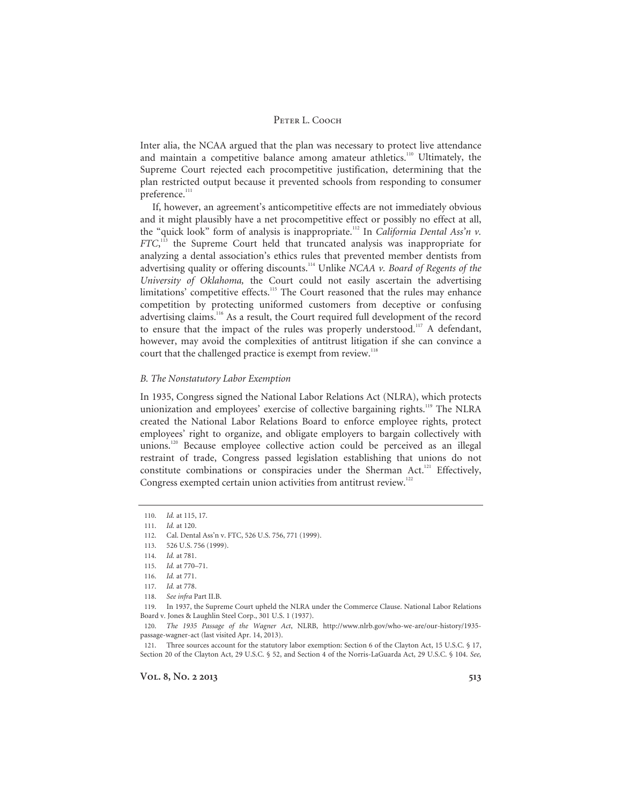Inter alia, the NCAA argued that the plan was necessary to protect live attendance and maintain a competitive balance among amateur athletics.<sup>110</sup> Ultimately, the Supreme Court rejected each procompetitive justification, determining that the plan restricted output because it prevented schools from responding to consumer preference.<sup>111</sup>

If, however, an agreement's anticompetitive effects are not immediately obvious and it might plausibly have a net procompetitive effect or possibly no effect at all, the "quick look" form of analysis is inappropriate.<sup>112</sup> In *California Dental Ass'n v*. *FTC*, 113 the Supreme Court held that truncated analysis was inappropriate for analyzing a dental association's ethics rules that prevented member dentists from advertising quality or offering discounts.114 Unlike *NCAA v. Board of Regents of the University of Oklahoma,* the Court could not easily ascertain the advertising limitations' competitive effects.<sup>115</sup> The Court reasoned that the rules may enhance competition by protecting uniformed customers from deceptive or confusing advertising claims.116 As a result, the Court required full development of the record to ensure that the impact of the rules was properly understood.<sup>117</sup> A defendant, however, may avoid the complexities of antitrust litigation if she can convince a court that the challenged practice is exempt from review.<sup>118</sup>

# *B. The Nonstatutory Labor Exemption*

In 1935, Congress signed the National Labor Relations Act (NLRA), which protects unionization and employees' exercise of collective bargaining rights.<sup>119</sup> The NLRA created the National Labor Relations Board to enforce employee rights, protect employees' right to organize, and obligate employers to bargain collectively with unions.<sup>120</sup> Because employee collective action could be perceived as an illegal restraint of trade, Congress passed legislation establishing that unions do not constitute combinations or conspiracies under the Sherman Act.<sup>121</sup> Effectively, Congress exempted certain union activities from antitrust review.<sup>122</sup>

<sup>110.</sup> *Id.* at 115, 17.

<sup>111.</sup> *Id.* at 120.

<sup>112.</sup> Cal. Dental Ass'n v. FTC, 526 U.S. 756, 771 (1999).

<sup>113. 526</sup> U.S. 756 (1999).

<sup>114.</sup> *Id.* at 781.

<sup>115.</sup> *Id.* at 770–71.

<sup>116.</sup> *Id.* at 771.

<sup>117.</sup> *Id.* at 778.

<sup>118.</sup> *See infra* Part II.B.

<sup>119.</sup> In 1937, the Supreme Court upheld the NLRA under the Commerce Clause. National Labor Relations Board v. Jones & Laughlin Steel Corp., 301 U.S. 1 (1937).

<sup>120.</sup> *The 1935 Passage of the Wagner Act*, NLRB, http://www.nlrb.gov/who-we-are/our-history/1935 passage-wagner-act (last visited Apr. 14, 2013).

<sup>121.</sup> Three sources account for the statutory labor exemption: Section 6 of the Clayton Act, 15 U.S.C. § 17, Section 20 of the Clayton Act, 29 U.S.C. § 52, and Section 4 of the Norris-LaGuarda Act, 29 U.S.C. § 104. *See,*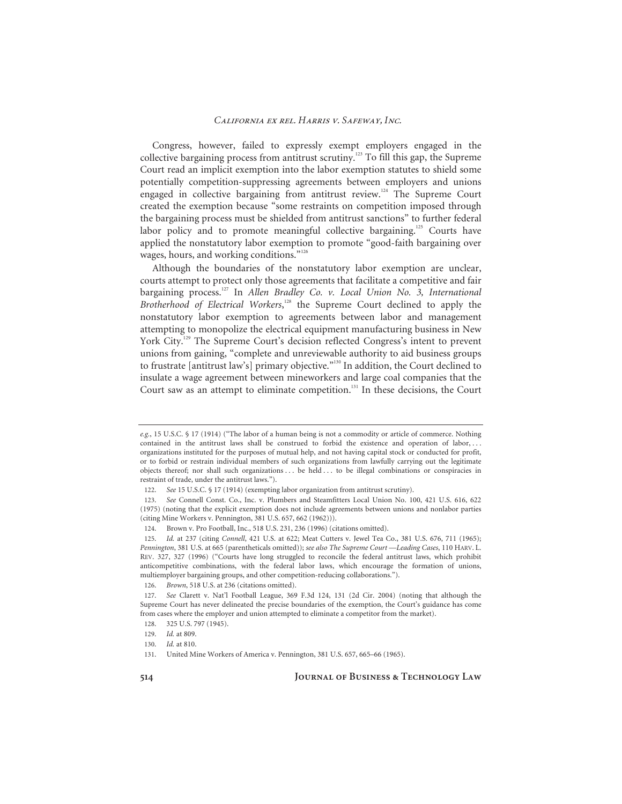Congress, however, failed to expressly exempt employers engaged in the collective bargaining process from antitrust scrutiny.123 To fill this gap, the Supreme Court read an implicit exemption into the labor exemption statutes to shield some potentially competition-suppressing agreements between employers and unions engaged in collective bargaining from antitrust review.<sup>124</sup> The Supreme Court created the exemption because "some restraints on competition imposed through the bargaining process must be shielded from antitrust sanctions" to further federal labor policy and to promote meaningful collective bargaining.<sup>125</sup> Courts have applied the nonstatutory labor exemption to promote "good-faith bargaining over wages, hours, and working conditions."<sup>126</sup>

Although the boundaries of the nonstatutory labor exemption are unclear, courts attempt to protect only those agreements that facilitate a competitive and fair bargaining process.<sup>127</sup> In *Allen Bradley Co. v. Local Union No. 3, International* Brotherhood of Electrical Workers,<sup>128</sup> the Supreme Court declined to apply the nonstatutory labor exemption to agreements between labor and management attempting to monopolize the electrical equipment manufacturing business in New York City.<sup>129</sup> The Supreme Court's decision reflected Congress's intent to prevent unions from gaining, "complete and unreviewable authority to aid business groups to frustrate [antitrust law's] primary objective."130 In addition, the Court declined to insulate a wage agreement between mineworkers and large coal companies that the Court saw as an attempt to eliminate competition.<sup>131</sup> In these decisions, the Court

*e.g.*, 15 U.S.C. § 17 (1914) ("The labor of a human being is not a commodity or article of commerce. Nothing contained in the antitrust laws shall be construed to forbid the existence and operation of labor, . . . organizations instituted for the purposes of mutual help, and not having capital stock or conducted for profit, or to forbid or restrain individual members of such organizations from lawfully carrying out the legitimate objects thereof; nor shall such organizations . . . be held . . . to be illegal combinations or conspiracies in restraint of trade, under the antitrust laws.").

<sup>122.</sup> *See* 15 U.S.C. § 17 (1914) (exempting labor organization from antitrust scrutiny).

<sup>123.</sup> *See* Connell Const. Co., Inc. v. Plumbers and Steamfitters Local Union No. 100, 421 U.S. 616, 622 (1975) (noting that the explicit exemption does not include agreements between unions and nonlabor parties (citing Mine Workers v. Pennington, 381 U.S. 657, 662 (1962))).

<sup>124.</sup> Brown v. Pro Football, Inc., 518 U.S. 231, 236 (1996) (citations omitted).

<sup>125.</sup> *Id.* at 237 (citing *Connell*, 421 U.S. at 622; Meat Cutters v. Jewel Tea Co., 381 U.S. 676, 711 (1965); *Pennington*, 381 U.S. at 665 (parentheticals omitted)); *see also The Supreme Court —Leading Cases*, 110 HARV. L. REV. 327, 327 (1996) ("Courts have long struggled to reconcile the federal antitrust laws, which prohibit anticompetitive combinations, with the federal labor laws, which encourage the formation of unions, multiemployer bargaining groups, and other competition-reducing collaborations.").

<sup>126.</sup> *Brown*, 518 U.S. at 236 (citations omitted).

<sup>127.</sup> *See* Clarett v. Nat'l Football League, 369 F.3d 124, 131 (2d Cir. 2004) (noting that although the Supreme Court has never delineated the precise boundaries of the exemption, the Court's guidance has come from cases where the employer and union attempted to eliminate a competitor from the market).

<sup>128. 325</sup> U.S. 797 (1945).

<sup>129.</sup> *Id.* at 809.

<sup>130.</sup> *Id.* at 810.

<sup>131.</sup> United Mine Workers of America v. Pennington, 381 U.S. 657, 665–66 (1965).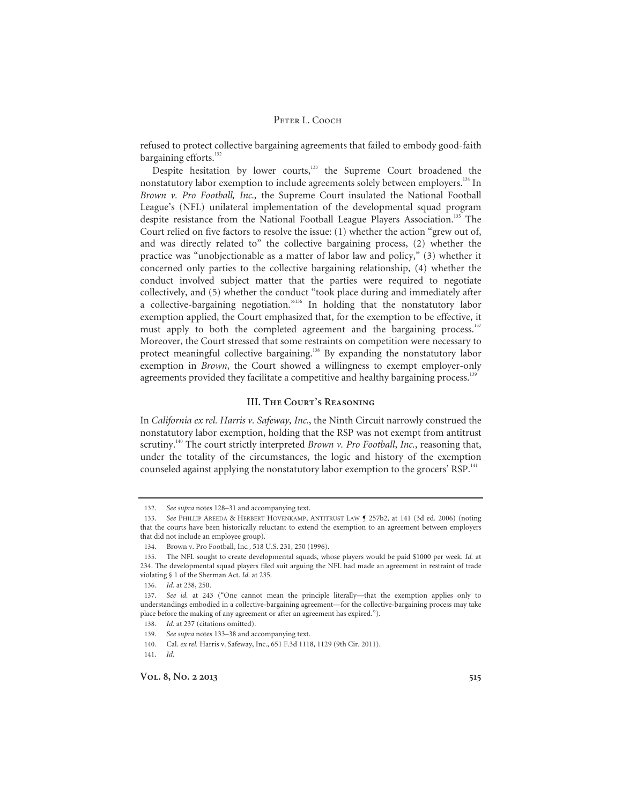refused to protect collective bargaining agreements that failed to embody good-faith bargaining efforts.<sup>132</sup>

Despite hesitation by lower courts,<sup>133</sup> the Supreme Court broadened the nonstatutory labor exemption to include agreements solely between employers.<sup>134</sup> In *Brown v. Pro Football, Inc.,* the Supreme Court insulated the National Football League's (NFL) unilateral implementation of the developmental squad program despite resistance from the National Football League Players Association.<sup>135</sup> The Court relied on five factors to resolve the issue: (1) whether the action "grew out of, and was directly related to" the collective bargaining process, (2) whether the practice was "unobjectionable as a matter of labor law and policy," (3) whether it concerned only parties to the collective bargaining relationship, (4) whether the conduct involved subject matter that the parties were required to negotiate collectively, and (5) whether the conduct "took place during and immediately after a collective-bargaining negotiation."136 In holding that the nonstatutory labor exemption applied, the Court emphasized that, for the exemption to be effective, it must apply to both the completed agreement and the bargaining process.<sup>137</sup> Moreover, the Court stressed that some restraints on competition were necessary to protect meaningful collective bargaining.<sup>138</sup> By expanding the nonstatutory labor exemption in *Brown*, the Court showed a willingness to exempt employer-only agreements provided they facilitate a competitive and healthy bargaining process.<sup>139</sup>

# **III. The Court's Reasoning**

In *California ex rel. Harris v. Safeway, Inc.*, the Ninth Circuit narrowly construed the nonstatutory labor exemption, holding that the RSP was not exempt from antitrust scrutiny.<sup>140</sup> The court strictly interpreted *Brown v. Pro Football*, *Inc.*, reasoning that, under the totality of the circumstances, the logic and history of the exemption counseled against applying the nonstatutory labor exemption to the grocers' RSP.<sup>141</sup>

<sup>132.</sup> *See supra* notes 128–31 and accompanying text.

<sup>133.</sup> *See* PHILLIP AREEDA & HERBERT HOVENKAMP, ANTITRUST LAW ¶ 257b2, at 141 (3d ed. 2006) (noting that the courts have been historically reluctant to extend the exemption to an agreement between employers that did not include an employee group).

<sup>134.</sup> Brown v. Pro Football, Inc*.*, 518 U.S. 231, 250 (1996).

<sup>135.</sup> The NFL sought to create developmental squads, whose players would be paid \$1000 per week. *Id.* at 234. The developmental squad players filed suit arguing the NFL had made an agreement in restraint of trade violating § 1 of the Sherman Act. *Id.* at 235.

<sup>136.</sup> *Id.* at 238, 250.

<sup>137.</sup> *See id.* at 243 ("One cannot mean the principle literally—that the exemption applies only to understandings embodied in a collective-bargaining agreement—for the collective-bargaining process may take place before the making of any agreement or after an agreement has expired.").

<sup>138.</sup> *Id.* at 237 (citations omitted).

<sup>139.</sup> *See supra* notes 133–38 and accompanying text.

<sup>140.</sup> Cal. *ex rel.* Harris v. Safeway, Inc., 651 F.3d 1118, 1129 (9th Cir. 2011).

<sup>141.</sup> *Id.*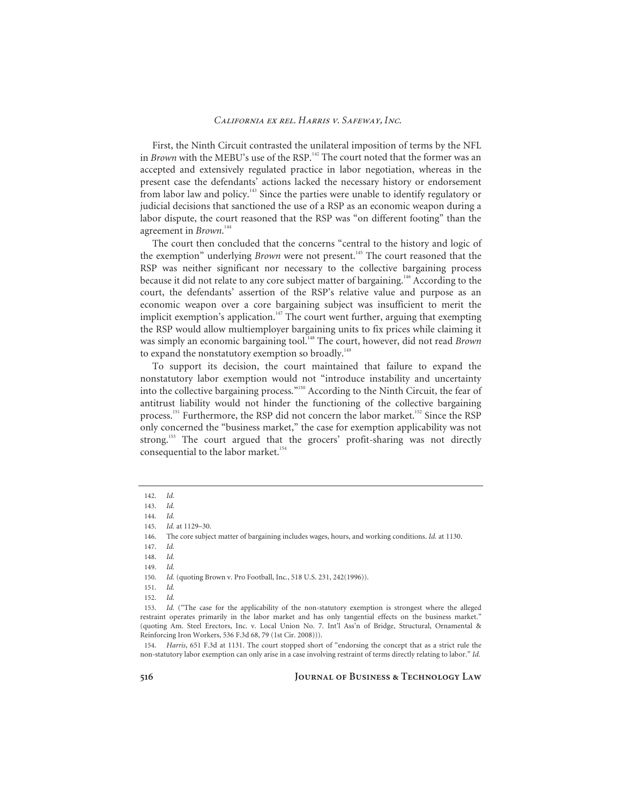First, the Ninth Circuit contrasted the unilateral imposition of terms by the NFL in *Brown* with the MEBU's use of the RSP.<sup>142</sup> The court noted that the former was an accepted and extensively regulated practice in labor negotiation, whereas in the present case the defendants' actions lacked the necessary history or endorsement from labor law and policy.143 Since the parties were unable to identify regulatory or judicial decisions that sanctioned the use of a RSP as an economic weapon during a labor dispute, the court reasoned that the RSP was "on different footing" than the agreement in *Brown*. 144

The court then concluded that the concerns "central to the history and logic of the exemption" underlying *Brown* were not present.<sup>145</sup> The court reasoned that the RSP was neither significant nor necessary to the collective bargaining process because it did not relate to any core subject matter of bargaining.<sup>146</sup> According to the court, the defendants' assertion of the RSP's relative value and purpose as an economic weapon over a core bargaining subject was insufficient to merit the implicit exemption's application.<sup>147</sup> The court went further, arguing that exempting the RSP would allow multiemployer bargaining units to fix prices while claiming it was simply an economic bargaining tool.<sup>148</sup> The court, however, did not read *Brown* to expand the nonstatutory exemption so broadly.<sup>149</sup>

To support its decision, the court maintained that failure to expand the nonstatutory labor exemption would not "introduce instability and uncertainty into the collective bargaining process."150 According to the Ninth Circuit, the fear of antitrust liability would not hinder the functioning of the collective bargaining process.<sup>151</sup> Furthermore, the RSP did not concern the labor market.<sup>152</sup> Since the RSP only concerned the "business market," the case for exemption applicability was not strong.<sup>153</sup> The court argued that the grocers' profit-sharing was not directly consequential to the labor market.<sup>154</sup>

<sup>142.</sup> *Id.*

<sup>143.</sup> *Id.*

<sup>144.</sup> *Id.*

<sup>145.</sup> *Id.* at 1129–30.

<sup>146.</sup> The core subject matter of bargaining includes wages, hours, and working conditions. *Id.* at 1130.

<sup>147.</sup> *Id.*

<sup>148.</sup> *Id.*

<sup>149.</sup> *Id.*

<sup>150.</sup> *Id.* (quoting Brown v. Pro Football, Inc*.*, 518 U.S. 231, 242(1996)).

<sup>151.</sup> *Id.* 

<sup>152.</sup> *Id.*

<sup>153.</sup> *Id.* ("The case for the applicability of the non-statutory exemption is strongest where the alleged restraint operates primarily in the labor market and has only tangential effects on the business market." (quoting Am. Steel Erectors, Inc. v. Local Union No. 7. Int'l Ass'n of Bridge, Structural, Ornamental & Reinforcing Iron Workers, 536 F.3d 68, 79 (1st Cir. 2008))).

<sup>154.</sup> *Harris*, 651 F.3d at 1131. The court stopped short of "endorsing the concept that as a strict rule the non-statutory labor exemption can only arise in a case involving restraint of terms directly relating to labor." *Id.*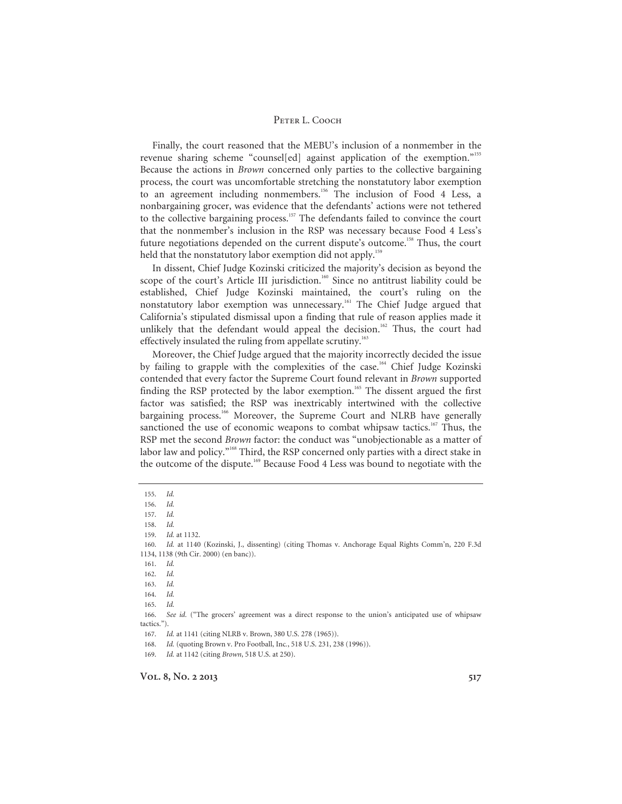Finally, the court reasoned that the MEBU's inclusion of a nonmember in the revenue sharing scheme "counsel[ed] against application of the exemption."155 Because the actions in *Brown* concerned only parties to the collective bargaining process, the court was uncomfortable stretching the nonstatutory labor exemption to an agreement including nonmembers.<sup>156</sup> The inclusion of Food 4 Less, a nonbargaining grocer, was evidence that the defendants' actions were not tethered to the collective bargaining process.<sup>157</sup> The defendants failed to convince the court that the nonmember's inclusion in the RSP was necessary because Food 4 Less's future negotiations depended on the current dispute's outcome.158 Thus, the court held that the nonstatutory labor exemption did not apply.<sup>159</sup>

In dissent, Chief Judge Kozinski criticized the majority's decision as beyond the scope of the court's Article III jurisdiction.<sup>160</sup> Since no antitrust liability could be established, Chief Judge Kozinski maintained, the court's ruling on the nonstatutory labor exemption was unnecessary.<sup>161</sup> The Chief Judge argued that California's stipulated dismissal upon a finding that rule of reason applies made it unlikely that the defendant would appeal the decision.<sup>162</sup> Thus, the court had effectively insulated the ruling from appellate scrutiny.<sup>163</sup>

Moreover, the Chief Judge argued that the majority incorrectly decided the issue by failing to grapple with the complexities of the case.<sup>164</sup> Chief Judge Kozinski contended that every factor the Supreme Court found relevant in *Brown* supported finding the RSP protected by the labor exemption.<sup>165</sup> The dissent argued the first factor was satisfied; the RSP was inextricably intertwined with the collective bargaining process.<sup>166</sup> Moreover, the Supreme Court and NLRB have generally sanctioned the use of economic weapons to combat whipsaw tactics.<sup>167</sup> Thus, the RSP met the second *Brown* factor: the conduct was "unobjectionable as a matter of labor law and policy."<sup>168</sup> Third, the RSP concerned only parties with a direct stake in the outcome of the dispute.<sup>169</sup> Because Food 4 Less was bound to negotiate with the

168. *Id.* (quoting Brown v. Pro Football, Inc*.*, 518 U.S. 231, 238 (1996)).

<sup>155.</sup> *Id.*

<sup>156.</sup> *Id.*

<sup>157.</sup> *Id.*

<sup>158.</sup> *Id.*

<sup>159.</sup> *Id.* at 1132.

<sup>160.</sup> *Id.* at 1140 (Kozinski, J., dissenting) (citing Thomas v. Anchorage Equal Rights Comm'n, 220 F.3d 1134, 1138 (9th Cir. 2000) (en banc)).

<sup>161.</sup> *Id.* 

<sup>162.</sup> *Id.*

<sup>163.</sup> *Id.* 

<sup>164.</sup> *Id.*

<sup>165.</sup> *Id.*

<sup>166.</sup> *See id.* ("The grocers' agreement was a direct response to the union's anticipated use of whipsaw tactics.").

<sup>167.</sup> *Id.* at 1141 (citing NLRB v. Brown, 380 U.S. 278 (1965)).

<sup>169.</sup> *Id.* at 1142 (citing *Brown*, 518 U.S. at 250).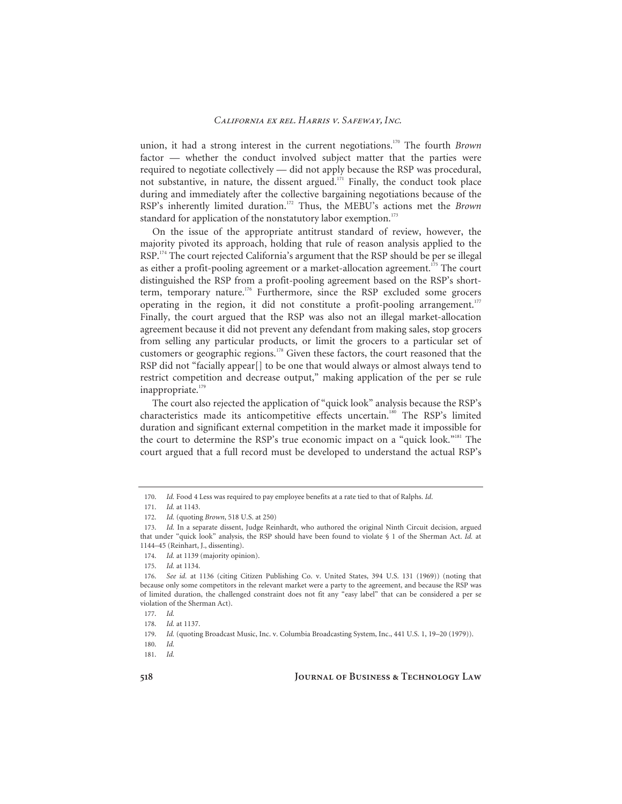union, it had a strong interest in the current negotiations.<sup>170</sup> The fourth *Brown* factor — whether the conduct involved subject matter that the parties were required to negotiate collectively — did not apply because the RSP was procedural, not substantive, in nature, the dissent argued.<sup>171</sup> Finally, the conduct took place during and immediately after the collective bargaining negotiations because of the RSP's inherently limited duration.172 Thus, the MEBU's actions met the *Brown* standard for application of the nonstatutory labor exemption.<sup>173</sup>

On the issue of the appropriate antitrust standard of review, however, the majority pivoted its approach, holding that rule of reason analysis applied to the RSP.<sup>174</sup> The court rejected California's argument that the RSP should be per se illegal as either a profit-pooling agreement or a market-allocation agreement.<sup>175</sup> The court distinguished the RSP from a profit-pooling agreement based on the RSP's shortterm, temporary nature.<sup>176</sup> Furthermore, since the RSP excluded some grocers operating in the region, it did not constitute a profit-pooling arrangement.<sup>177</sup> Finally, the court argued that the RSP was also not an illegal market-allocation agreement because it did not prevent any defendant from making sales, stop grocers from selling any particular products, or limit the grocers to a particular set of customers or geographic regions.178 Given these factors, the court reasoned that the RSP did not "facially appear[] to be one that would always or almost always tend to restrict competition and decrease output," making application of the per se rule inappropriate.<sup>179</sup>

The court also rejected the application of "quick look" analysis because the RSP's characteristics made its anticompetitive effects uncertain.<sup>180</sup> The RSP's limited duration and significant external competition in the market made it impossible for the court to determine the RSP's true economic impact on a "quick look."<sup>181</sup> The court argued that a full record must be developed to understand the actual RSP's

<sup>170.</sup> *Id.* Food 4 Less was required to pay employee benefits at a rate tied to that of Ralphs. *Id*.

<sup>171.</sup> *Id.* at 1143.

<sup>172.</sup> *Id.* (quoting *Brown*, 518 U.S. at 250)

<sup>173.</sup> *Id.* In a separate dissent, Judge Reinhardt, who authored the original Ninth Circuit decision, argued that under "quick look" analysis, the RSP should have been found to violate § 1 of the Sherman Act. *Id.* at 1144–45 (Reinhart, J., dissenting).

<sup>174.</sup> *Id.* at 1139 (majority opinion).

<sup>175.</sup> *Id.* at 1134.

<sup>176.</sup> *See id.* at 1136 (citing Citizen Publishing Co. v. United States, 394 U.S. 131 (1969)) (noting that because only some competitors in the relevant market were a party to the agreement, and because the RSP was of limited duration, the challenged constraint does not fit any "easy label" that can be considered a per se violation of the Sherman Act).

<sup>177.</sup> *Id.*

<sup>178.</sup> *Id.* at 1137.

<sup>179.</sup> *Id.* (quoting Broadcast Music, Inc. v. Columbia Broadcasting System, Inc., 441 U.S. 1, 19–20 (1979)).

<sup>180.</sup> *Id.*

<sup>181.</sup> *Id.*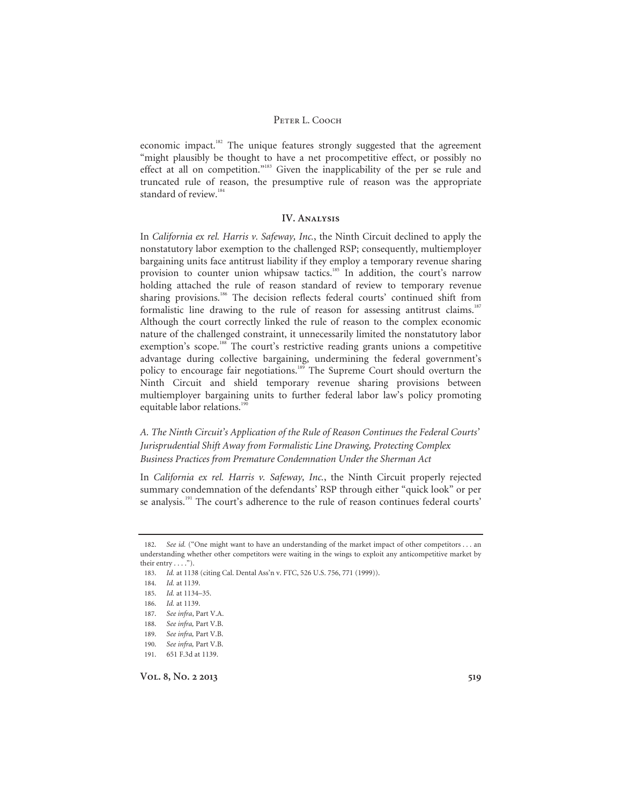economic impact.<sup>182</sup> The unique features strongly suggested that the agreement "might plausibly be thought to have a net procompetitive effect, or possibly no effect at all on competition."183 Given the inapplicability of the per se rule and truncated rule of reason, the presumptive rule of reason was the appropriate standard of review.<sup>184</sup>

# **IV. Analysis**

In *California ex rel. Harris v. Safeway, Inc.*, the Ninth Circuit declined to apply the nonstatutory labor exemption to the challenged RSP; consequently, multiemployer bargaining units face antitrust liability if they employ a temporary revenue sharing provision to counter union whipsaw tactics.<sup>185</sup> In addition, the court's narrow holding attached the rule of reason standard of review to temporary revenue sharing provisions.<sup>186</sup> The decision reflects federal courts' continued shift from formalistic line drawing to the rule of reason for assessing antitrust claims.<sup>187</sup> Although the court correctly linked the rule of reason to the complex economic nature of the challenged constraint, it unnecessarily limited the nonstatutory labor exemption's scope.<sup>188</sup> The court's restrictive reading grants unions a competitive advantage during collective bargaining, undermining the federal government's policy to encourage fair negotiations.<sup>189</sup> The Supreme Court should overturn the Ninth Circuit and shield temporary revenue sharing provisions between multiemployer bargaining units to further federal labor law's policy promoting equitable labor relations.<sup>190</sup>

# *A. The Ninth Circuit's Application of the Rule of Reason Continues the Federal Courts' Jurisprudential Shift Away from Formalistic Line Drawing, Protecting Complex Business Practices from Premature Condemnation Under the Sherman Act*

In *California ex rel. Harris v. Safeway, Inc.*, the Ninth Circuit properly rejected summary condemnation of the defendants' RSP through either "quick look" or per se analysis.<sup>191</sup> The court's adherence to the rule of reason continues federal courts'

<sup>182.</sup> *See id.* ("One might want to have an understanding of the market impact of other competitors . . . an understanding whether other competitors were waiting in the wings to exploit any anticompetitive market by their entry  $\dots$ ").

<sup>183.</sup> *Id.* at 1138 (citing Cal. Dental Ass'n v. FTC, 526 U.S. 756, 771 (1999)).

<sup>184.</sup> *Id.* at 1139.

<sup>185.</sup> *Id.* at 1134–35.

<sup>186.</sup> *Id.* at 1139.

<sup>187.</sup> *See infra*, Part V.A.

<sup>188.</sup> See infra, Part V.B.

<sup>189.</sup> *See infra,* Part V.B.

<sup>190.</sup> *See infra,* Part V.B.

<sup>191. 651</sup> F.3d at 1139.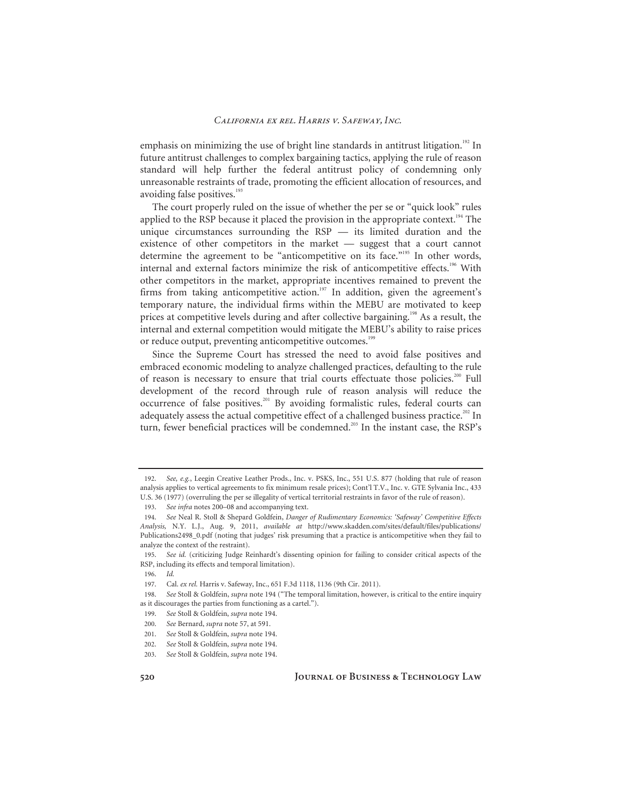emphasis on minimizing the use of bright line standards in antitrust litigation.<sup>192</sup> In future antitrust challenges to complex bargaining tactics, applying the rule of reason standard will help further the federal antitrust policy of condemning only unreasonable restraints of trade, promoting the efficient allocation of resources, and avoiding false positives.<sup>193</sup>

The court properly ruled on the issue of whether the per se or "quick look" rules applied to the RSP because it placed the provision in the appropriate context.<sup>194</sup> The unique circumstances surrounding the RSP — its limited duration and the existence of other competitors in the market — suggest that a court cannot determine the agreement to be "anticompetitive on its face."<sup>195</sup> In other words, internal and external factors minimize the risk of anticompetitive effects.<sup>196</sup> With other competitors in the market, appropriate incentives remained to prevent the firms from taking anticompetitive action.<sup>197</sup> In addition, given the agreement's temporary nature, the individual firms within the MEBU are motivated to keep prices at competitive levels during and after collective bargaining.<sup>198</sup> As a result, the internal and external competition would mitigate the MEBU's ability to raise prices or reduce output, preventing anticompetitive outcomes.<sup>199</sup>

Since the Supreme Court has stressed the need to avoid false positives and embraced economic modeling to analyze challenged practices, defaulting to the rule of reason is necessary to ensure that trial courts effectuate those policies.<sup>200</sup> Full development of the record through rule of reason analysis will reduce the occurrence of false positives.<sup>201</sup> By avoiding formalistic rules, federal courts can adequately assess the actual competitive effect of a challenged business practice.<sup>202</sup> In turn, fewer beneficial practices will be condemned.<sup>203</sup> In the instant case, the RSP's

<sup>192.</sup> *See, e.g.*, Leegin Creative Leather Prods., Inc. v. PSKS, Inc., 551 U.S. 877 (holding that rule of reason analysis applies to vertical agreements to fix minimum resale prices); Cont'l T.V., Inc. v. GTE Sylvania Inc., 433 U.S. 36 (1977) (overruling the per se illegality of vertical territorial restraints in favor of the rule of reason).

<sup>193.</sup> *See infra* notes 200–08 and accompanying text.

<sup>194.</sup> *See* Neal R. Stoll & Shepard Goldfein, *Danger of Rudimentary Economics: 'Safeway' Competitive Effects Analysis,* N.Y. L.J., Aug. 9, 2011, *available at* http://www.skadden.com/sites/default/files/publications/ Publications2498\_0.pdf (noting that judges' risk presuming that a practice is anticompetitive when they fail to analyze the context of the restraint).

<sup>195.</sup> *See id.* (criticizing Judge Reinhardt's dissenting opinion for failing to consider critical aspects of the RSP, including its effects and temporal limitation).

<sup>196.</sup> *Id.*

<sup>197.</sup> Cal. *ex rel.* Harris v. Safeway, Inc., 651 F.3d 1118, 1136 (9th Cir. 2011).

<sup>198.</sup> *See* Stoll & Goldfein, *supra* note 194 ("The temporal limitation, however, is critical to the entire inquiry as it discourages the parties from functioning as a cartel.").

<sup>199.</sup> *See* Stoll & Goldfein, *supra* note 194.

<sup>200.</sup> *See* Bernard, *supra* note 57, at 591.

<sup>201.</sup> *See* Stoll & Goldfein, *supra* note 194.

<sup>202.</sup> *See* Stoll & Goldfein, *supra* note 194.

<sup>203.</sup> *See* Stoll & Goldfein, *supra* note 194.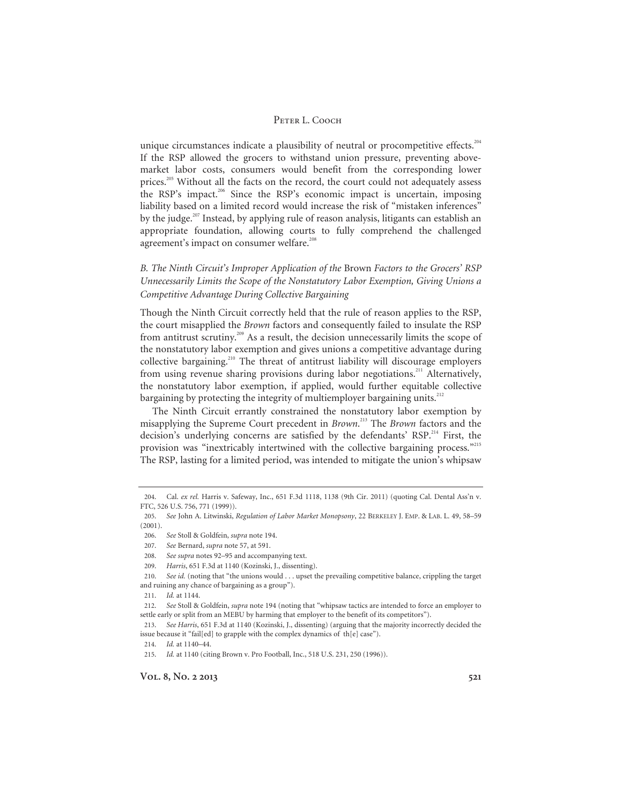unique circumstances indicate a plausibility of neutral or procompetitive effects.<sup>204</sup> If the RSP allowed the grocers to withstand union pressure, preventing abovemarket labor costs, consumers would benefit from the corresponding lower prices.<sup>205</sup> Without all the facts on the record, the court could not adequately assess the RSP's impact.206 Since the RSP's economic impact is uncertain, imposing liability based on a limited record would increase the risk of "mistaken inferences" by the judge.<sup>207</sup> Instead, by applying rule of reason analysis, litigants can establish an appropriate foundation, allowing courts to fully comprehend the challenged agreement's impact on consumer welfare.<sup>208</sup>

*B. The Ninth Circuit's Improper Application of the* Brown *Factors to the Grocers' RSP Unnecessarily Limits the Scope of the Nonstatutory Labor Exemption, Giving Unions a Competitive Advantage During Collective Bargaining*

Though the Ninth Circuit correctly held that the rule of reason applies to the RSP, the court misapplied the *Brown* factors and consequently failed to insulate the RSP from antitrust scrutiny.209 As a result, the decision unnecessarily limits the scope of the nonstatutory labor exemption and gives unions a competitive advantage during collective bargaining.<sup>210</sup> The threat of antitrust liability will discourage employers from using revenue sharing provisions during labor negotiations.<sup>211</sup> Alternatively, the nonstatutory labor exemption, if applied, would further equitable collective bargaining by protecting the integrity of multiemployer bargaining units.<sup>212</sup>

The Ninth Circuit errantly constrained the nonstatutory labor exemption by misapplying the Supreme Court precedent in *Brown*. 213 The *Brown* factors and the decision's underlying concerns are satisfied by the defendants' RSP.<sup>214</sup> First, the provision was "inextricably intertwined with the collective bargaining process."<sup>215</sup> The RSP, lasting for a limited period, was intended to mitigate the union's whipsaw

209. *Harris*, 651 F.3d at 1140 (Kozinski, J., dissenting).

<sup>204.</sup> Cal. *ex rel.* Harris v. Safeway, Inc., 651 F.3d 1118, 1138 (9th Cir. 2011) (quoting Cal. Dental Ass'n v. FTC, 526 U.S. 756, 771 (1999)).

<sup>205.</sup> *See* John A. Litwinski, *Regulation of Labor Market Monopsony*, 22 BERKELEY J. EMP. & LAB. L. 49, 58–59 (2001).

<sup>206.</sup> *See* Stoll & Goldfein, *supra* note 194.

<sup>207.</sup> *See* Bernard, *supra* note 57, at 591.

<sup>208.</sup> *See supra* notes 92–95 and accompanying text.

<sup>210.</sup> *See id.* (noting that "the unions would . . . upset the prevailing competitive balance, crippling the target and ruining any chance of bargaining as a group").

<sup>211.</sup> *Id.* at 1144.

<sup>212.</sup> *See* Stoll & Goldfein, *supra* note 194 (noting that "whipsaw tactics are intended to force an employer to settle early or split from an MEBU by harming that employer to the benefit of its competitors").

<sup>213.</sup> *See Harris*, 651 F.3d at 1140 (Kozinski, J., dissenting) (arguing that the majority incorrectly decided the issue because it "fail[ed] to grapple with the complex dynamics of th[e] case").

<sup>214.</sup> *Id.* at 1140–44.

<sup>215.</sup> *Id.* at 1140 (citing Brown v. Pro Football, Inc., 518 U.S. 231, 250 (1996)).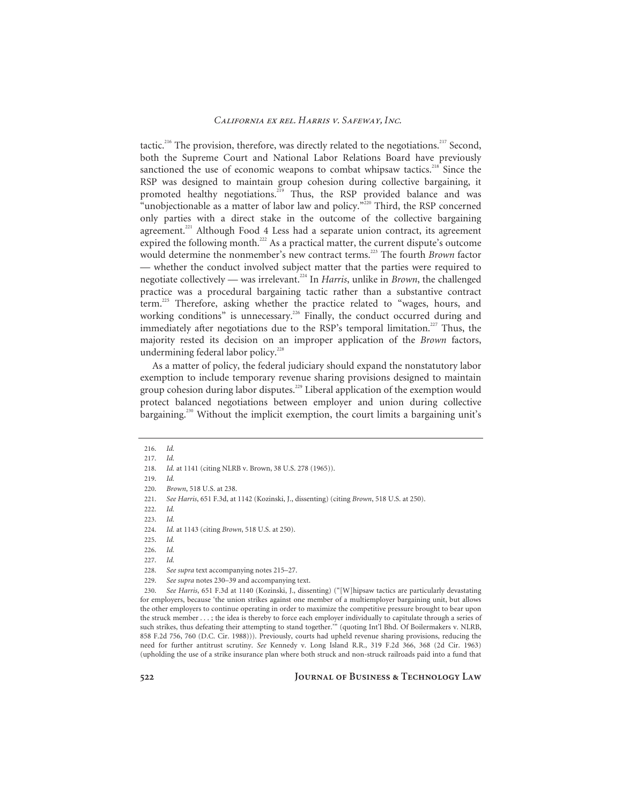tactic.<sup>216</sup> The provision, therefore, was directly related to the negotiations.<sup>217</sup> Second, both the Supreme Court and National Labor Relations Board have previously sanctioned the use of economic weapons to combat whipsaw tactics.<sup>218</sup> Since the RSP was designed to maintain group cohesion during collective bargaining, it promoted healthy negotiations.<sup>219</sup> Thus, the RSP provided balance and was "unobjectionable as a matter of labor law and policy."<sup>220</sup> Third, the RSP concerned only parties with a direct stake in the outcome of the collective bargaining agreement.<sup>221</sup> Although Food 4 Less had a separate union contract, its agreement expired the following month.<sup>222</sup> As a practical matter, the current dispute's outcome would determine the nonmember's new contract terms.<sup>223</sup> The fourth *Brown* factor — whether the conduct involved subject matter that the parties were required to negotiate collectively — was irrelevant.<sup>224</sup> In *Harris*, unlike in *Brown*, the challenged practice was a procedural bargaining tactic rather than a substantive contract term.225 Therefore, asking whether the practice related to "wages, hours, and working conditions" is unnecessary.<sup>226</sup> Finally, the conduct occurred during and immediately after negotiations due to the RSP's temporal limitation.<sup>227</sup> Thus, the majority rested its decision on an improper application of the *Brown* factors, undermining federal labor policy.<sup>228</sup>

As a matter of policy, the federal judiciary should expand the nonstatutory labor exemption to include temporary revenue sharing provisions designed to maintain group cohesion during labor disputes.<sup>229</sup> Liberal application of the exemption would protect balanced negotiations between employer and union during collective bargaining.230 Without the implicit exemption, the court limits a bargaining unit's

229. *See supra* notes 230–39 and accompanying text.

230. *See Harris*, 651 F.3d at 1140 (Kozinski, J., dissenting) ("[W]hipsaw tactics are particularly devastating for employers, because 'the union strikes against one member of a multiemployer bargaining unit, but allows the other employers to continue operating in order to maximize the competitive pressure brought to bear upon the struck member . . . ; the idea is thereby to force each employer individually to capitulate through a series of such strikes, thus defeating their attempting to stand together.'" (quoting Int'l Bhd. Of Boilermakers v. NLRB, 858 F.2d 756, 760 (D.C. Cir. 1988))). Previously, courts had upheld revenue sharing provisions, reducing the need for further antitrust scrutiny. *See* Kennedy v. Long Island R.R., 319 F.2d 366, 368 (2d Cir. 1963) (upholding the use of a strike insurance plan where both struck and non-struck railroads paid into a fund that

<sup>216.</sup> *Id.*

<sup>217.</sup> *Id.*

<sup>218.</sup> *Id.* at 1141 (citing NLRB v. Brown, 38 U.S. 278 (1965)).

<sup>219.</sup> *Id.*

<sup>220.</sup> *Brown*, 518 U.S. at 238.

<sup>221.</sup> *See Harris*, 651 F.3d, at 1142 (Kozinski, J., dissenting) (citing *Brown*, 518 U.S. at 250).

<sup>222.</sup> *Id.*

<sup>223.</sup> *Id.*

<sup>224.</sup> *Id.* at 1143 (citing *Brown*, 518 U.S. at 250).

<sup>225.</sup> *Id.*

<sup>226.</sup> *Id.*

<sup>227.</sup> *Id.*

<sup>228.</sup> *See supra* text accompanying notes 215–27.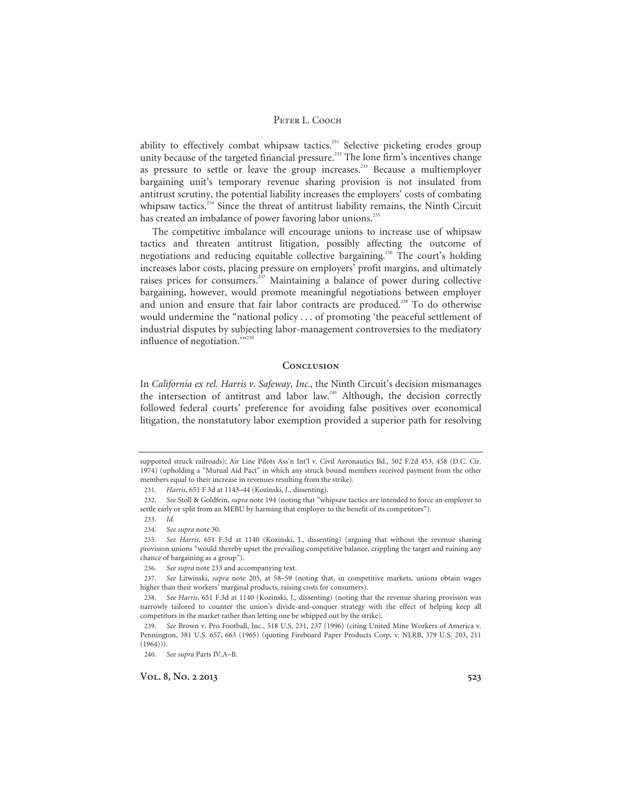ability to effectively combat whipsaw tactics.<sup>231</sup> Selective picketing erodes group unity because of the targeted financial pressure.<sup>232</sup> The lone firm's incentives change as pressure to settle or leave the group increases.<sup>233</sup> Because a multiemployer bargaining unit's temporary revenue sharing provision is not insulated from antitrust scrutiny, the potential liability increases the employers' costs of combating whipsaw tactics.<sup>234</sup> Since the threat of antitrust liability remains, the Ninth Circuit has created an imbalance of power favoring labor unions.<sup>235</sup>

The competitive imbalance will encourage unions to increase use of whipsaw tactics and threaten antitrust litigation, possibly affecting the outcome of negotiations and reducing equitable collective bargaining.<sup>236</sup> The court's holding increases labor costs, placing pressure on employers' profit margins, and ultimately raises prices for consumers.<sup>237</sup> Maintaining a balance of power during collective bargaining, however, would promote meaningful negotiations between employer and union and ensure that fair labor contracts are produced.<sup>238</sup> To do otherwise would undermine the "national policy . . . of promoting 'the peaceful settlement of industrial disputes by subjecting labor-management controversies to the mediatory influence of negotiation."<sup>239</sup>

# **Conclusion**

In *California ex rel. Harris v. Safeway, Inc.,* the Ninth Circuit's decision mismanages the intersection of antitrust and labor law.<sup>240</sup> Although, the decision correctly followed federal courts' preference for avoiding false positives over economical litigation, the nonstatutory labor exemption provided a superior path for resolving

supported struck railroads); Air Line Pilots Ass'n Int'l v. Civil Aeronautics Bd., 502 F.2d 453, 458 (D.C. Cir. 1974) (upholding a "Mutual Aid Pact" in which any struck bound members received payment from the other members equal to their increase in revenues resulting from the strike).

<sup>231.</sup> *Harris*, 651 F.3d at 1143–44 (Kozinski, J., dissenting).

<sup>232.</sup> *See* Stoll & Goldfein, *supra* note 194 (noting that "whipsaw tactics are intended to force an employer to settle early or split from an MEBU by harming that employer to the benefit of its competitors").

<sup>233.</sup> *Id.*

<sup>234.</sup> *See supra* note 30.

<sup>235.</sup> *See Harris*, 651 F.3d at 1140 (Kozinski, J., dissenting) (arguing that without the revenue sharing provision unions "would thereby upset the prevailing competitive balance, crippling the target and ruining any chance of bargaining as a group").

<sup>236.</sup> *See supra* note 233 and accompanying text.

<sup>237.</sup> *See* Litwinski, *supra* note 205, at 58–59 (noting that, in competitive markets, unions obtain wages higher than their workers' marginal products, raising costs for consumers).

<sup>238.</sup> *See Harris*, 651 F.3d at 1140 (Kozinski, J., dissenting) (noting that the revenue sharing provision was narrowly tailored to counter the union's divide-and-conquer strategy with the effect of helping keep all competitors in the market rather than letting one be whipped out by the strike).

<sup>239.</sup> *See* Brown v. Pro Football, Inc., 518 U.S. 231, 237 (1996) (citing United Mine Workers of America v. Pennington, 381 U.S. 657, 663 (1965) (quoting Fireboard Paper Products Corp. v. NLRB, 379 U.S. 203, 211  $(1964)$ ).

<sup>240.</sup> *See supra* Parts IV.A–B.